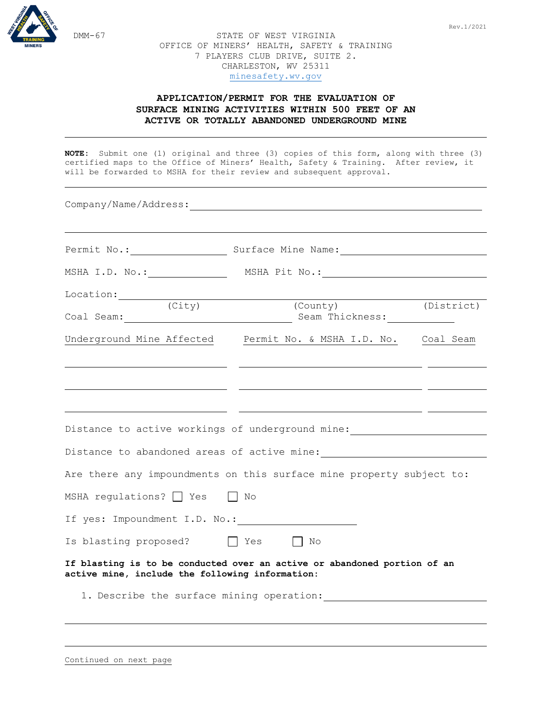



STATE OF WEST VIRGINIA OFFICE OF MINERS' HEALTH, SAFETY & TRAINING 7 PLAYERS CLUB DRIVE, SUITE 2. CHARLESTON, WV 25311 [minesafety.wv.gov](https://minesafety.wv.gov/)

## **APPLICATION/PERMIT FOR THE EVALUATION OF SURFACE MINING ACTIVITIES WITHIN 500 FEET OF AN ACTIVE OR TOTALLY ABANDONED UNDERGROUND MINE**

**NOTE:** Submit one (1) original and three (3) copies of this form, along with three (3) certified maps to the Office of Miners' Health, Safety & Training. After review, it will be forwarded to MSHA for their review and subsequent approval.

| Company/Name/Address:                           |                                                                                  |            |  |  |  |
|-------------------------------------------------|----------------------------------------------------------------------------------|------------|--|--|--|
|                                                 | Permit No.: Surface Mine Name: Name:                                             |            |  |  |  |
|                                                 |                                                                                  |            |  |  |  |
| $Location:$ $(City)$                            | (County)                                                                         | (District) |  |  |  |
|                                                 |                                                                                  |            |  |  |  |
|                                                 | Underground Mine Affected Permit No. & MSHA I.D. No. Coal Seam                   |            |  |  |  |
|                                                 |                                                                                  |            |  |  |  |
|                                                 |                                                                                  |            |  |  |  |
|                                                 | Distance to active workings of underground mine: _______________________________ |            |  |  |  |
|                                                 |                                                                                  |            |  |  |  |
|                                                 | Are there any impoundments on this surface mine property subject to:             |            |  |  |  |
| MSHA regulations? Yes No                        |                                                                                  |            |  |  |  |
| If yes: Impoundment I.D. No.:                   |                                                                                  |            |  |  |  |
| Is blasting proposed? The Yes The No            |                                                                                  |            |  |  |  |
| active mine, include the following information: | If blasting is to be conducted over an active or abandoned portion of an         |            |  |  |  |
|                                                 | 1. Describe the surface mining operation:                                        |            |  |  |  |
|                                                 |                                                                                  |            |  |  |  |